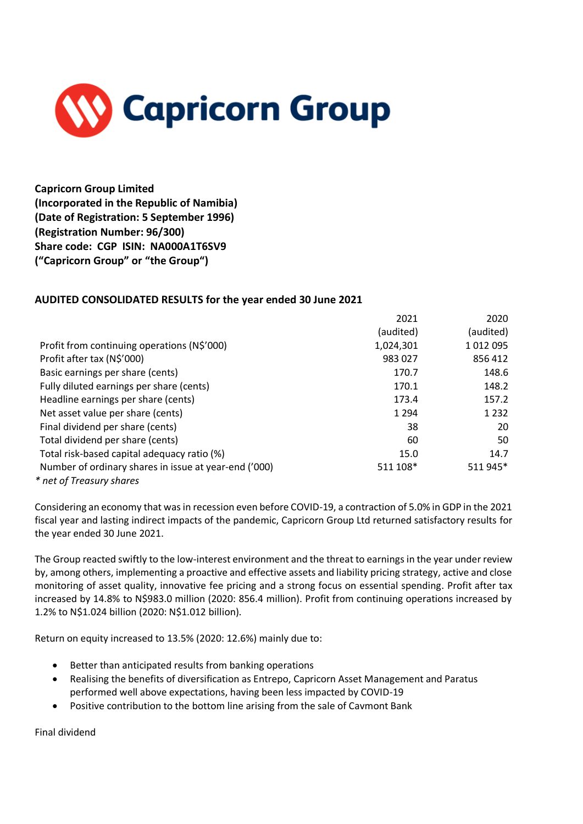

**Capricorn Group Limited (Incorporated in the Republic of Namibia) (Date of Registration: 5 September 1996) (Registration Number: 96/300) Share code: CGP ISIN: NA000A1T6SV9 ("Capricorn Group" or "the Group")**

## **AUDITED CONSOLIDATED RESULTS for the year ended 30 June 2021**

|                                                       | 2021      | 2020      |
|-------------------------------------------------------|-----------|-----------|
|                                                       | (audited) | (audited) |
| Profit from continuing operations (N\$'000)           | 1,024,301 | 1012095   |
| Profit after tax (N\$'000)                            | 983 027   | 856 412   |
| Basic earnings per share (cents)                      | 170.7     | 148.6     |
| Fully diluted earnings per share (cents)              | 170.1     | 148.2     |
| Headline earnings per share (cents)                   | 173.4     | 157.2     |
| Net asset value per share (cents)                     | 1 2 9 4   | 1 2 3 2   |
| Final dividend per share (cents)                      | 38        | 20        |
| Total dividend per share (cents)                      | 60        | 50        |
| Total risk-based capital adequacy ratio (%)           | 15.0      | 14.7      |
| Number of ordinary shares in issue at year-end ('000) | 511 108*  | 511 945*  |
| * net of Treasury shares                              |           |           |

Considering an economy that was in recession even before COVID-19, a contraction of 5.0% in GDP in the 2021 fiscal year and lasting indirect impacts of the pandemic, Capricorn Group Ltd returned satisfactory results for the year ended 30 June 2021.

The Group reacted swiftly to the low-interest environment and the threat to earnings in the year under review by, among others, implementing a proactive and effective assets and liability pricing strategy, active and close monitoring of asset quality, innovative fee pricing and a strong focus on essential spending. Profit after tax increased by 14.8% to N\$983.0 million (2020: 856.4 million). Profit from continuing operations increased by 1.2% to N\$1.024 billion (2020: N\$1.012 billion).

Return on equity increased to 13.5% (2020: 12.6%) mainly due to:

- Better than anticipated results from banking operations
- Realising the benefits of diversification as Entrepo, Capricorn Asset Management and Paratus performed well above expectations, having been less impacted by COVID-19
- Positive contribution to the bottom line arising from the sale of Cavmont Bank

Final dividend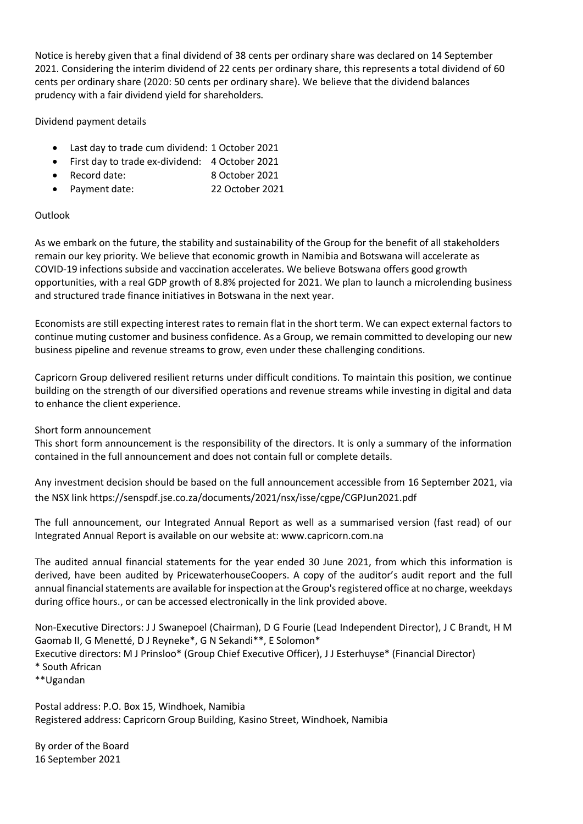Notice is hereby given that a final dividend of 38 cents per ordinary share was declared on 14 September 2021. Considering the interim dividend of 22 cents per ordinary share, this represents a total dividend of 60 cents per ordinary share (2020: 50 cents per ordinary share). We believe that the dividend balances prudency with a fair dividend yield for shareholders.

Dividend payment details

- Last day to trade cum dividend: 1 October 2021
- First day to trade ex-dividend: 4 October 2021
- Record date: 8 October 2021
- Payment date: 22 October 2021

## Outlook

As we embark on the future, the stability and sustainability of the Group for the benefit of all stakeholders remain our key priority. We believe that economic growth in Namibia and Botswana will accelerate as COVID-19 infections subside and vaccination accelerates. We believe Botswana offers good growth opportunities, with a real GDP growth of 8.8% projected for 2021. We plan to launch a microlending business and structured trade finance initiatives in Botswana in the next year.

Economists are still expecting interest rates to remain flat in the short term. We can expect external factors to continue muting customer and business confidence. As a Group, we remain committed to developing our new business pipeline and revenue streams to grow, even under these challenging conditions.

Capricorn Group delivered resilient returns under difficult conditions. To maintain this position, we continue building on the strength of our diversified operations and revenue streams while investing in digital and data to enhance the client experience.

## Short form announcement

This short form announcement is the responsibility of the directors. It is only a summary of the information contained in the full announcement and does not contain full or complete details.

Any investment decision should be based on the full announcement accessible from 16 September 2021, via the NSX link https://senspdf.jse.co.za/documents/2021/nsx/isse/cgpe/CGPJun2021.pdf

The full announcement, our Integrated Annual Report as well as a summarised version (fast read) of our Integrated Annual Report is available on our website at: www.capricorn.com.na

The audited annual financial statements for the year ended 30 June 2021, from which this information is derived, have been audited by PricewaterhouseCoopers. A copy of the auditor's audit report and the full annual financial statements are available for inspection at the Group's registered office at no charge, weekdays during office hours., or can be accessed electronically in the link provided above.

Non-Executive Directors: J J Swanepoel (Chairman), D G Fourie (Lead Independent Director), J C Brandt, H M Gaomab II, G Menetté, D J Reyneke\*, G N Sekandi\*\*, E Solomon\* Executive directors: M J Prinsloo\* (Group Chief Executive Officer), J J Esterhuyse\* (Financial Director) \* South African \*\*Ugandan

Postal address: P.O. Box 15, Windhoek, Namibia Registered address: Capricorn Group Building, Kasino Street, Windhoek, Namibia

By order of the Board 16 September 2021